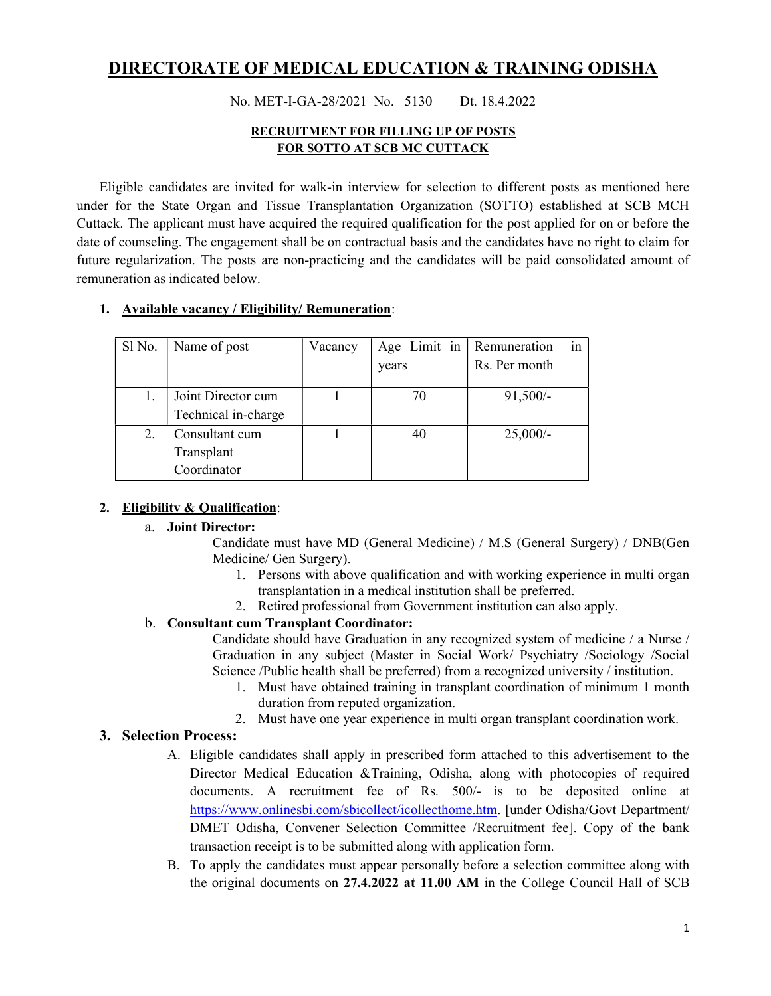# DIRECTORATE OF MEDICAL EDUCATION & TRAINING ODISHA

#### No. MET-I-GA-28/2021 No. 5130 Dt. 18.4.2022

## RECRUITMENT FOR FILLING UP OF POSTS FOR SOTTO AT SCB MC CUTTACK

Eligible candidates are invited for walk-in interview for selection to different posts as mentioned here under for the State Organ and Tissue Transplantation Organization (SOTTO) established at SCB MCH Cuttack. The applicant must have acquired the required qualification for the post applied for on or before the date of counseling. The engagement shall be on contractual basis and the candidates have no right to claim for future regularization. The posts are non-practicing and the candidates will be paid consolidated amount of remuneration as indicated below.

#### 1. Available vacancy / Eligibility/ Remuneration:

| Sl No. | Name of post                                | Vacancy | Age Limit in<br>years | Remuneration<br>Rs. Per month | 1n |
|--------|---------------------------------------------|---------|-----------------------|-------------------------------|----|
|        | Joint Director cum<br>Technical in-charge   |         | 70                    | $91,500/-$                    |    |
| 2.     | Consultant cum<br>Transplant<br>Coordinator |         | 40                    | $25,000/-$                    |    |

## 2. Eligibility & Qualification:

#### a. Joint Director:

Candidate must have MD (General Medicine) / M.S (General Surgery) / DNB(Gen Medicine/ Gen Surgery).

- 1. Persons with above qualification and with working experience in multi organ transplantation in a medical institution shall be preferred.
- 2. Retired professional from Government institution can also apply.

## b. Consultant cum Transplant Coordinator:

Candidate should have Graduation in any recognized system of medicine / a Nurse / Graduation in any subject (Master in Social Work/ Psychiatry /Sociology /Social Science /Public health shall be preferred) from a recognized university / institution.

- 1. Must have obtained training in transplant coordination of minimum 1 month duration from reputed organization.
- 2. Must have one year experience in multi organ transplant coordination work.

## 3. Selection Process:

- A. Eligible candidates shall apply in prescribed form attached to this advertisement to the Director Medical Education &Training, Odisha, along with photocopies of required documents. A recruitment fee of Rs. 500/- is to be deposited online at https://www.onlinesbi.com/sbicollect/icollecthome.htm. [under Odisha/Govt Department/ DMET Odisha, Convener Selection Committee /Recruitment fee]. Copy of the bank transaction receipt is to be submitted along with application form.
- B. To apply the candidates must appear personally before a selection committee along with the original documents on 27.4.2022 at 11.00 AM in the College Council Hall of SCB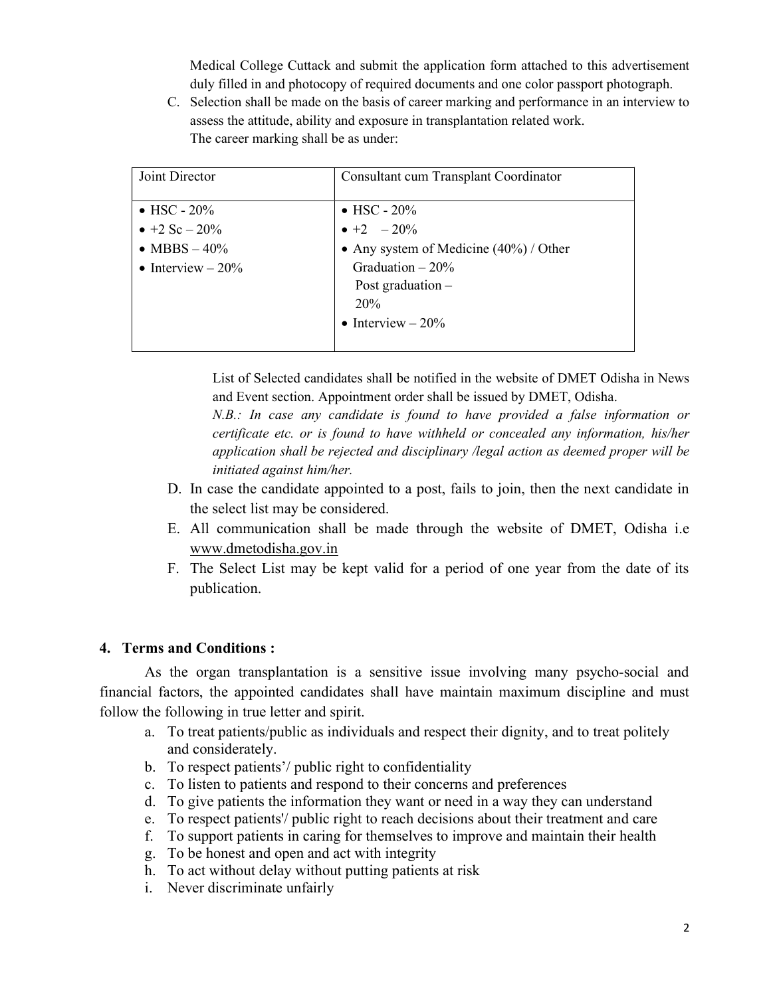Medical College Cuttack and submit the application form attached to this advertisement duly filled in and photocopy of required documents and one color passport photograph.

C. Selection shall be made on the basis of career marking and performance in an interview to assess the attitude, ability and exposure in transplantation related work. The career marking shall be as under:

| Joint Director          | Consultant cum Transplant Coordinator  |
|-------------------------|----------------------------------------|
|                         |                                        |
| • HSC - $20\%$          | • HSC - $20\%$                         |
| $\bullet +2$ Sc $-20\%$ | $\bullet +2 -20\%$                     |
| • MBBS $-40\%$          | • Any system of Medicine (40%) / Other |
| • Interview $-20\%$     | Graduation $-20\%$                     |
|                         | Post graduation $-$                    |
|                         | <b>20%</b>                             |
|                         | • Interview $-20\%$                    |
|                         |                                        |

List of Selected candidates shall be notified in the website of DMET Odisha in News and Event section. Appointment order shall be issued by DMET, Odisha.

N.B.: In case any candidate is found to have provided a false information or certificate etc. or is found to have withheld or concealed any information, his/her application shall be rejected and disciplinary /legal action as deemed proper will be initiated against him/her.

- D. In case the candidate appointed to a post, fails to join, then the next candidate in the select list may be considered.
- E. All communication shall be made through the website of DMET, Odisha i.e www.dmetodisha.gov.in
- F. The Select List may be kept valid for a period of one year from the date of its publication.

## 4. Terms and Conditions :

As the organ transplantation is a sensitive issue involving many psycho-social and financial factors, the appointed candidates shall have maintain maximum discipline and must follow the following in true letter and spirit.

- a. To treat patients/public as individuals and respect their dignity, and to treat politely and considerately.
- b. To respect patients'/ public right to confidentiality
- c. To listen to patients and respond to their concerns and preferences
- d. To give patients the information they want or need in a way they can understand
- e. To respect patients'/ public right to reach decisions about their treatment and care
- f. To support patients in caring for themselves to improve and maintain their health
- g. To be honest and open and act with integrity
- h. To act without delay without putting patients at risk
- i. Never discriminate unfairly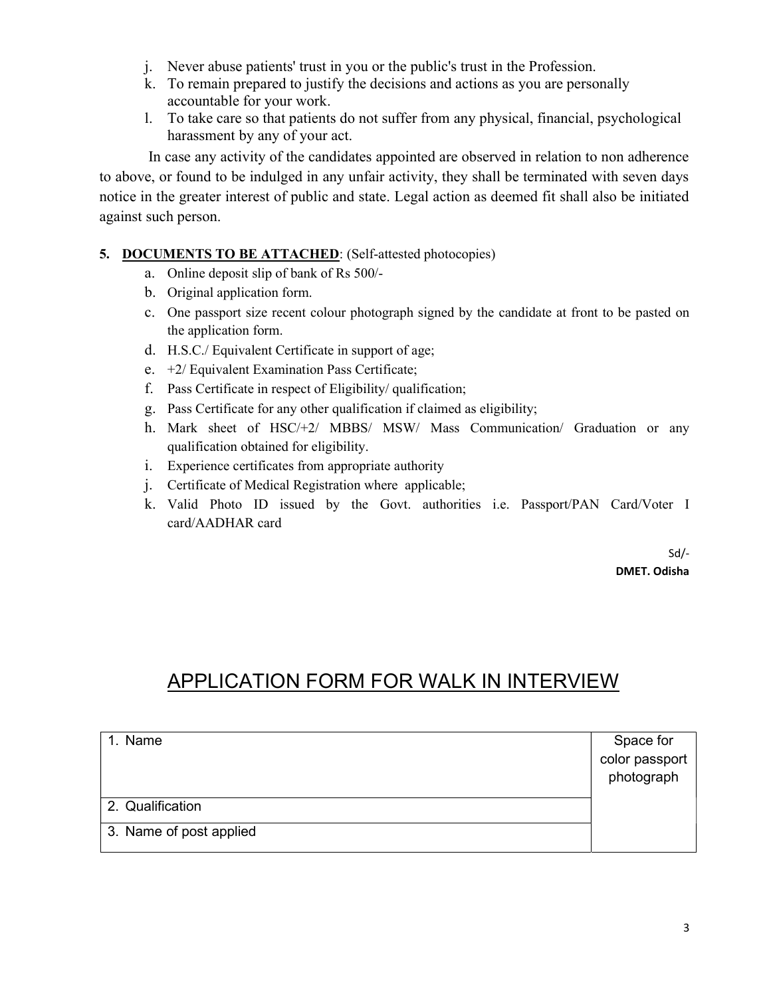- j. Never abuse patients' trust in you or the public's trust in the Profession.
- k. To remain prepared to justify the decisions and actions as you are personally accountable for your work.
- l. To take care so that patients do not suffer from any physical, financial, psychological harassment by any of your act.

 In case any activity of the candidates appointed are observed in relation to non adherence to above, or found to be indulged in any unfair activity, they shall be terminated with seven days notice in the greater interest of public and state. Legal action as deemed fit shall also be initiated against such person.

# 5. DOCUMENTS TO BE ATTACHED: (Self-attested photocopies)

- a. Online deposit slip of bank of Rs 500/-
- b. Original application form.
- c. One passport size recent colour photograph signed by the candidate at front to be pasted on the application form.
- d. H.S.C./ Equivalent Certificate in support of age;
- e. +2/ Equivalent Examination Pass Certificate;
- f. Pass Certificate in respect of Eligibility/ qualification;
- g. Pass Certificate for any other qualification if claimed as eligibility;
- h. Mark sheet of HSC/+2/ MBBS/ MSW/ Mass Communication/ Graduation or any qualification obtained for eligibility.
- i. Experience certificates from appropriate authority
- j. Certificate of Medical Registration where applicable;
- k. Valid Photo ID issued by the Govt. authorities i.e. Passport/PAN Card/Voter I card/AADHAR card

 Sd/- DMET. Odisha

# APPLICATION FORM FOR WALK IN INTERVIEW

| 1. Name                 | Space for      |
|-------------------------|----------------|
|                         | color passport |
|                         | photograph     |
|                         |                |
| 2. Qualification        |                |
| 3. Name of post applied |                |
|                         |                |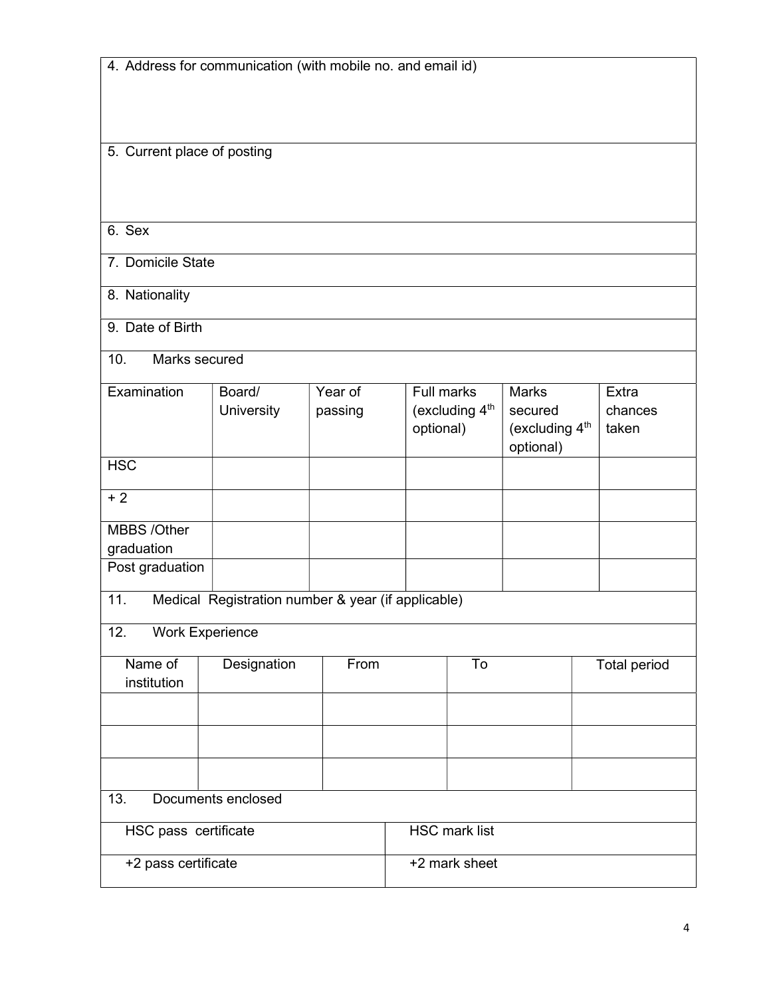|                             | 4. Address for communication (with mobile no. and email id) |         |            |                            |                            |                     |
|-----------------------------|-------------------------------------------------------------|---------|------------|----------------------------|----------------------------|---------------------|
|                             |                                                             |         |            |                            |                            |                     |
|                             |                                                             |         |            |                            |                            |                     |
|                             |                                                             |         |            |                            |                            |                     |
|                             |                                                             |         |            |                            |                            |                     |
| 5. Current place of posting |                                                             |         |            |                            |                            |                     |
|                             |                                                             |         |            |                            |                            |                     |
|                             |                                                             |         |            |                            |                            |                     |
|                             |                                                             |         |            |                            |                            |                     |
| 6. Sex                      |                                                             |         |            |                            |                            |                     |
| 7. Domicile State           |                                                             |         |            |                            |                            |                     |
|                             |                                                             |         |            |                            |                            |                     |
| 8. Nationality              |                                                             |         |            |                            |                            |                     |
|                             |                                                             |         |            |                            |                            |                     |
| 9. Date of Birth            |                                                             |         |            |                            |                            |                     |
| 10.<br>Marks secured        |                                                             |         |            |                            |                            |                     |
|                             |                                                             |         |            |                            |                            |                     |
| Examination                 | Board/                                                      | Year of | Full marks |                            | <b>Marks</b>               | Extra               |
|                             | University                                                  | passing |            | (excluding 4 <sup>th</sup> | secured                    | chances             |
|                             |                                                             |         | optional)  |                            | (excluding 4 <sup>th</sup> | taken               |
|                             |                                                             |         |            |                            | optional)                  |                     |
| <b>HSC</b>                  |                                                             |         |            |                            |                            |                     |
| $+2$                        |                                                             |         |            |                            |                            |                     |
|                             |                                                             |         |            |                            |                            |                     |
| MBBS /Other                 |                                                             |         |            |                            |                            |                     |
| graduation                  |                                                             |         |            |                            |                            |                     |
| Post graduation             |                                                             |         |            |                            |                            |                     |
|                             |                                                             |         |            |                            |                            |                     |
| 11.                         | Medical Registration number & year (if applicable)          |         |            |                            |                            |                     |
| 12.                         | Work Experience                                             |         |            |                            |                            |                     |
|                             |                                                             |         |            |                            |                            |                     |
| Name of                     | Designation                                                 | From    |            | To                         |                            | <b>Total period</b> |
| institution                 |                                                             |         |            |                            |                            |                     |
|                             |                                                             |         |            |                            |                            |                     |
|                             |                                                             |         |            |                            |                            |                     |
|                             |                                                             |         |            |                            |                            |                     |
|                             |                                                             |         |            |                            |                            |                     |
|                             |                                                             |         |            |                            |                            |                     |
| 13.                         | Documents enclosed                                          |         |            |                            |                            |                     |
| HSC pass certificate        |                                                             |         |            | <b>HSC mark list</b>       |                            |                     |
|                             |                                                             |         |            |                            |                            |                     |
| +2 pass certificate         |                                                             |         |            | +2 mark sheet              |                            |                     |